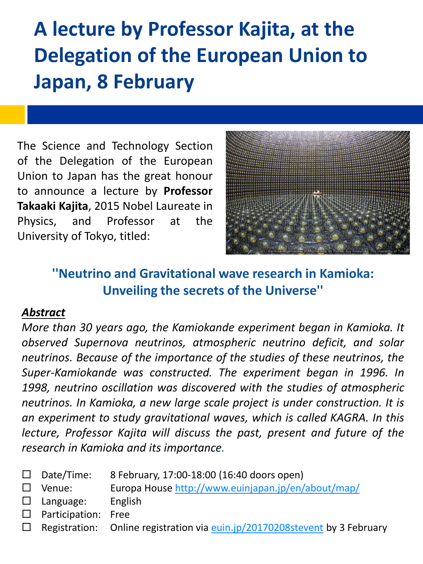# **A lecture by Professor Kajita, at the Delegation of the European Union to Japan, 8 February**

The Science and Technology Section of the Delegation of the European Union to Japan has the great honour to announce a lecture by **Professor Takaaki Kajita**, 2015 Nobel Laureate in Physics, and Professor at the University of Tokyo, titled:



### **''Neutrino and Gravitational wave research in Kamioka: Unveiling the secrets of the Universe''**

### *Abstract*

*More than 30 years ago, the Kamiokande experiment began in Kamioka. It observed Supernova neutrinos, atmospheric neutrino deficit, and solar neutrinos. Because of the importance of the studies of these neutrinos, the Super-Kamiokande was constructed. The experiment began in 1996. In 1998, neutrino oscillation was discovered with the studies of atmospheric neutrinos. In Kamioka, a new large scale project is under construction. It is an experiment to study gravitational waves, which is called KAGRA. In this lecture, Professor Kajita will discuss the past, present and future of the research in Kamioka and its importance.*

- $\Box$  Date/Time: 8 February, 17:00-18:00 (16:40 doors open)
- $\square$  Venue: Europa House<http://www.euinjapan.jp/en/about/map/>
- $\square$  Language: English
- $\square$  Participation: Free
- $\Box$  Registration: Online registration via euin.jp/20170208stevent by 3 February